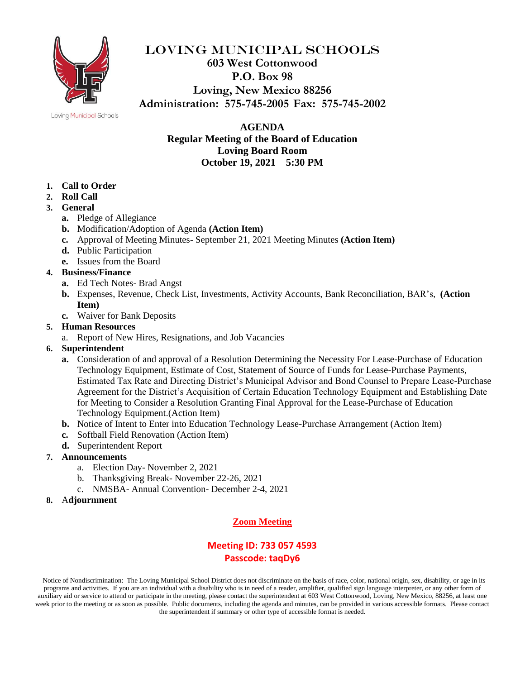

### LOVING MUNICIPAL SCHOOLS **603 West Cottonwood P.O. Box 98 Loving, New Mexico 88256 Administration: 575-745-2005 Fax: 575-745-2002**

#### Loving Municipal Schools

**AGENDA Regular Meeting of the Board of Education Loving Board Room October 19, 2021 5:30 PM**

- **1. Call to Order**
- **2. Roll Call**
- **3. General**
	- **a.** Pledge of Allegiance
	- **b.** Modification/Adoption of Agenda **(Action Item)**
	- **c.** Approval of Meeting Minutes- September 21, 2021 Meeting Minutes **(Action Item)**
	- **d.** Public Participation
	- **e.** Issues from the Board

#### **4. Business/Finance**

- **a.** Ed Tech Notes- Brad Angst
- **b.** Expenses, Revenue, Check List, Investments, Activity Accounts, Bank Reconciliation, BAR's, **(Action Item)**
- **c.** Waiver for Bank Deposits

#### **5. Human Resources**

a. Report of New Hires, Resignations, and Job Vacancies

#### **6. Superintendent**

- **a.** Consideration of and approval of a Resolution Determining the Necessity For Lease-Purchase of Education Technology Equipment, Estimate of Cost, Statement of Source of Funds for Lease-Purchase Payments, Estimated Tax Rate and Directing District's Municipal Advisor and Bond Counsel to Prepare Lease-Purchase Agreement for the District's Acquisition of Certain Education Technology Equipment and Establishing Date for Meeting to Consider a Resolution Granting Final Approval for the Lease-Purchase of Education Technology Equipment.(Action Item)
- **b.** Notice of Intent to Enter into Education Technology Lease-Purchase Arrangement (Action Item)
- **c.** Softball Field Renovation (Action Item)
- **d.** Superintendent Report

#### **7. Announcements**

- a. Election Day- November 2, 2021
- b. Thanksgiving Break- November 22-26, 2021
- c. NMSBA- Annual Convention- December 2-4, 2021
- **8.** A**djournment**

#### **Zoom Meeting**

### **Meeting ID: 733 057 4593 Passcode: taqDy6**

Notice of Nondiscrimination: The Loving Municipal School District does not discriminate on the basis of race, color, national origin, sex, disability, or age in its programs and activities. If you are an individual with a disability who is in need of a reader, amplifier, qualified sign language interpreter, or any other form of auxiliary aid or service to attend or participate in the meeting, please contact the superintendent at 603 West Cottonwood, Loving, New Mexico, 88256, at least one week prior to the meeting or as soon as possible. Public documents, including the agenda and minutes, can be provided in various accessible formats. Please contact the superintendent if summary or other type of accessible format is needed.